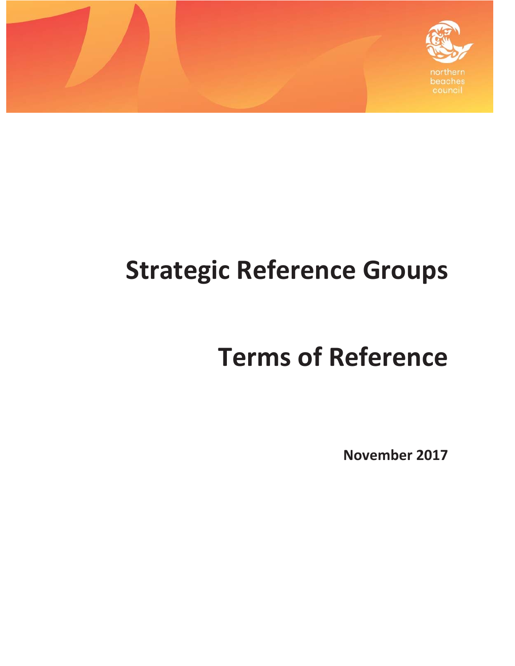



# **Strategic Reference Groups**

## **Terms of Reference**

**November 2017**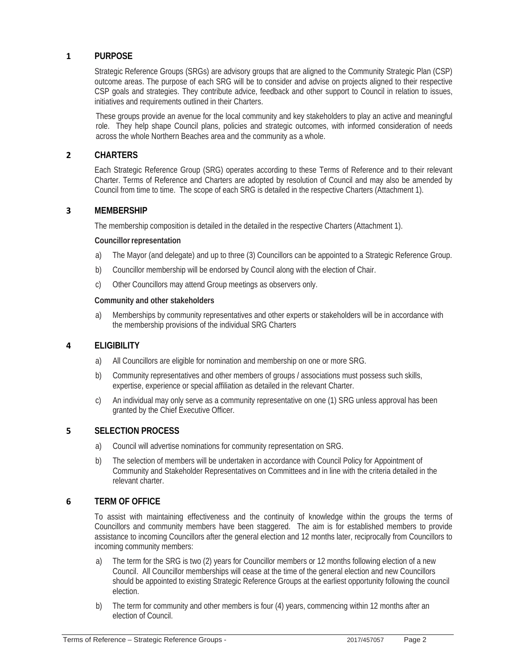## **1 PURPOSE**

Strategic Reference Groups (SRGs) are advisory groups that are aligned to the Community Strategic Plan (CSP) outcome areas. The purpose of each SRG will be to consider and advise on projects aligned to their respective CSP goals and strategies. They contribute advice, feedback and other support to Council in relation to issues, initiatives and requirements outlined in their Charters.

These groups provide an avenue for the local community and key stakeholders to play an active and meaningful role. They help shape Council plans, policies and strategic outcomes, with informed consideration of needs across the whole Northern Beaches area and the community as a whole.

## **2 CHARTERS**

Each Strategic Reference Group (SRG) operates according to these Terms of Reference and to their relevant Charter. Terms of Reference and Charters are adopted by resolution of Council and may also be amended by Council from time to time. The scope of each SRG is detailed in the respective Charters (Attachment 1).

#### **3 MEMBERSHIP**

The membership composition is detailed in the detailed in the respective Charters (Attachment 1).

#### **Councillor representation**

- a) The Mayor (and delegate) and up to three (3) Councillors can be appointed to a Strategic Reference Group.
- b) Councillor membership will be endorsed by Council along with the election of Chair.
- c) Other Councillors may attend Group meetings as observers only.

#### **Community and other stakeholders**

a) Memberships by community representatives and other experts or stakeholders will be in accordance with the membership provisions of the individual SRG Charters

#### **4 ELIGIBILITY**

- a) All Councillors are eligible for nomination and membership on one or more SRG.
- b) Community representatives and other members of groups / associations must possess such skills, expertise, experience or special affiliation as detailed in the relevant Charter.
- c) An individual may only serve as a community representative on one (1) SRG unless approval has been granted by the Chief Executive Officer.

#### **5 SELECTION PROCESS**

- a) Council will advertise nominations for community representation on SRG.
- b) The selection of members will be undertaken in accordance with Council Policy for Appointment of Community and Stakeholder Representatives on Committees and in line with the criteria detailed in the relevant charter.

## **6 TERM OF OFFICE**

To assist with maintaining effectiveness and the continuity of knowledge within the groups the terms of Councillors and community members have been staggered. The aim is for established members to provide assistance to incoming Councillors after the general election and 12 months later, reciprocally from Councillors to incoming community members:

- a) The term for the SRG is two (2) years for Councillor members or 12 months following election of a new Council. All Councillor memberships will cease at the time of the general election and new Councillors should be appointed to existing Strategic Reference Groups at the earliest opportunity following the council election.
- b) The term for community and other members is four (4) years, commencing within 12 months after an election of Council.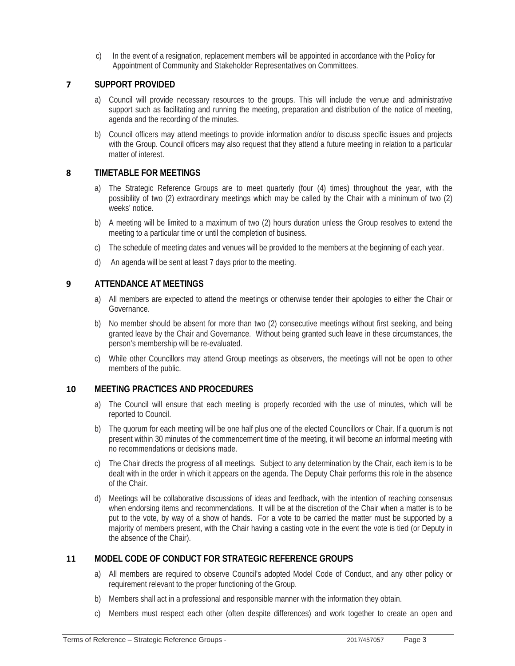c) In the event of a resignation, replacement members will be appointed in accordance with the Policy for Appointment of Community and Stakeholder Representatives on Committees.

## **7 SUPPORT PROVIDED**

- a) Council will provide necessary resources to the groups. This will include the venue and administrative support such as facilitating and running the meeting, preparation and distribution of the notice of meeting, agenda and the recording of the minutes.
- b) Council officers may attend meetings to provide information and/or to discuss specific issues and projects with the Group. Council officers may also request that they attend a future meeting in relation to a particular matter of interest.

## **8 TIMETABLE FOR MEETINGS**

- a) The Strategic Reference Groups are to meet quarterly (four (4) times) throughout the year, with the possibility of two (2) extraordinary meetings which may be called by the Chair with a minimum of two (2) weeks' notice.
- b) A meeting will be limited to a maximum of two (2) hours duration unless the Group resolves to extend the meeting to a particular time or until the completion of business.
- c) The schedule of meeting dates and venues will be provided to the members at the beginning of each year.
- d) An agenda will be sent at least 7 days prior to the meeting.

## **9 ATTENDANCE AT MEETINGS**

- a) All members are expected to attend the meetings or otherwise tender their apologies to either the Chair or Governance.
- b) No member should be absent for more than two (2) consecutive meetings without first seeking, and being granted leave by the Chair and Governance. Without being granted such leave in these circumstances, the person's membership will be re-evaluated.
- c) While other Councillors may attend Group meetings as observers, the meetings will not be open to other members of the public.

## **10 MEETING PRACTICES AND PROCEDURES**

- a) The Council will ensure that each meeting is properly recorded with the use of minutes, which will be reported to Council.
- b) The quorum for each meeting will be one half plus one of the elected Councillors or Chair. If a quorum is not present within 30 minutes of the commencement time of the meeting, it will become an informal meeting with no recommendations or decisions made.
- c) The Chair directs the progress of all meetings. Subject to any determination by the Chair, each item is to be dealt with in the order in which it appears on the agenda. The Deputy Chair performs this role in the absence of the Chair.
- d) Meetings will be collaborative discussions of ideas and feedback, with the intention of reaching consensus when endorsing items and recommendations. It will be at the discretion of the Chair when a matter is to be put to the vote, by way of a show of hands. For a vote to be carried the matter must be supported by a majority of members present, with the Chair having a casting vote in the event the vote is tied (or Deputy in the absence of the Chair).

## **11 MODEL CODE OF CONDUCT FOR STRATEGIC REFERENCE GROUPS**

- a) All members are required to observe Council's adopted Model Code of Conduct, and any other policy or requirement relevant to the proper functioning of the Group.
- b) Members shall act in a professional and responsible manner with the information they obtain.
- c) Members must respect each other (often despite differences) and work together to create an open and